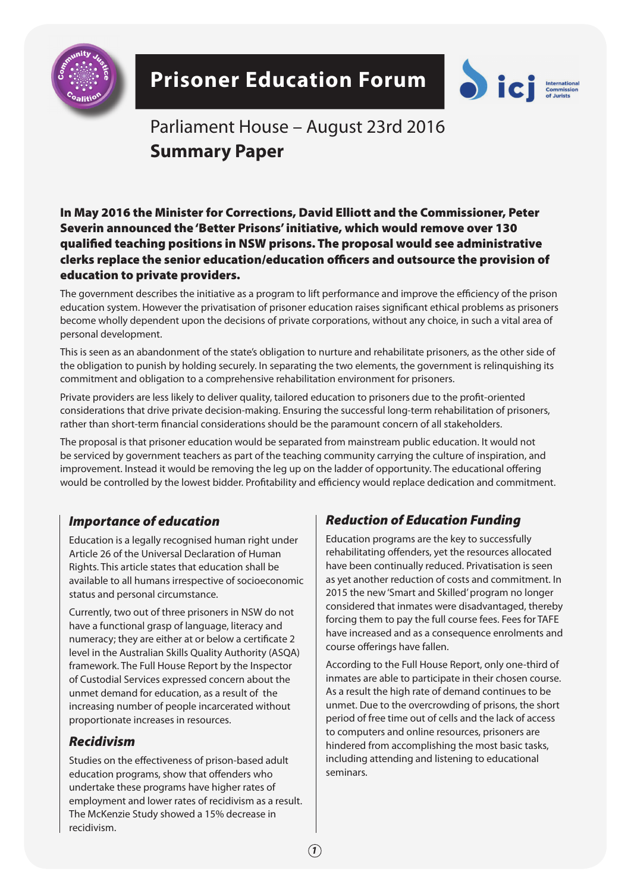

# **Prisoner Education Forum**



# Parliament House – August 23rd 2016 **Summary Paper**

In May 2016 the Minister for Corrections, David Elliott and the Commissioner, Peter Severin announced the 'Better Prisons' initiative, which would remove over 130 qualified teaching positions in NSW prisons. The proposal would see administrative clerks replace the senior education/education officers and outsource the provision of education to private providers.

The government describes the initiative as a program to lift performance and improve the efficiency of the prison education system. However the privatisation of prisoner education raises significant ethical problems as prisoners become wholly dependent upon the decisions of private corporations, without any choice, in such a vital area of personal development.

This is seen as an abandonment of the state's obligation to nurture and rehabilitate prisoners, as the other side of the obligation to punish by holding securely. In separating the two elements, the government is relinquishing its commitment and obligation to a comprehensive rehabilitation environment for prisoners.

Private providers are less likely to deliver quality, tailored education to prisoners due to the profit-oriented considerations that drive private decision-making. Ensuring the successful long-term rehabilitation of prisoners, rather than short-term financial considerations should be the paramount concern of all stakeholders.

The proposal is that prisoner education would be separated from mainstream public education. It would not be serviced by government teachers as part of the teaching community carrying the culture of inspiration, and improvement. Instead it would be removing the leg up on the ladder of opportunity. The educational offering would be controlled by the lowest bidder. Profitability and efficiency would replace dedication and commitment.

### *Importance of education*

Education is a legally recognised human right under Article 26 of the Universal Declaration of Human Rights. This article states that education shall be available to all humans irrespective of socioeconomic status and personal circumstance.

Currently, two out of three prisoners in NSW do not have a functional grasp of language, literacy and numeracy; they are either at or below a certificate 2 level in the Australian Skills Quality Authority (ASQA) framework. The Full House Report by the Inspector of Custodial Services expressed concern about the unmet demand for education, as a result of the increasing number of people incarcerated without proportionate increases in resources.

### *Recidivism*

Studies on the effectiveness of prison-based adult education programs, show that offenders who undertake these programs have higher rates of employment and lower rates of recidivism as a result. The McKenzie Study showed a 15% decrease in recidivism.

# *Reduction of Education Funding*

Education programs are the key to successfully rehabilitating offenders, yet the resources allocated have been continually reduced. Privatisation is seen as yet another reduction of costs and commitment. In 2015 the new 'Smart and Skilled' program no longer considered that inmates were disadvantaged, thereby forcing them to pay the full course fees. Fees for TAFE have increased and as a consequence enrolments and course offerings have fallen.

According to the Full House Report, only one-third of inmates are able to participate in their chosen course. As a result the high rate of demand continues to be unmet. Due to the overcrowding of prisons, the short period of free time out of cells and the lack of access to computers and online resources, prisoners are hindered from accomplishing the most basic tasks, including attending and listening to educational seminars.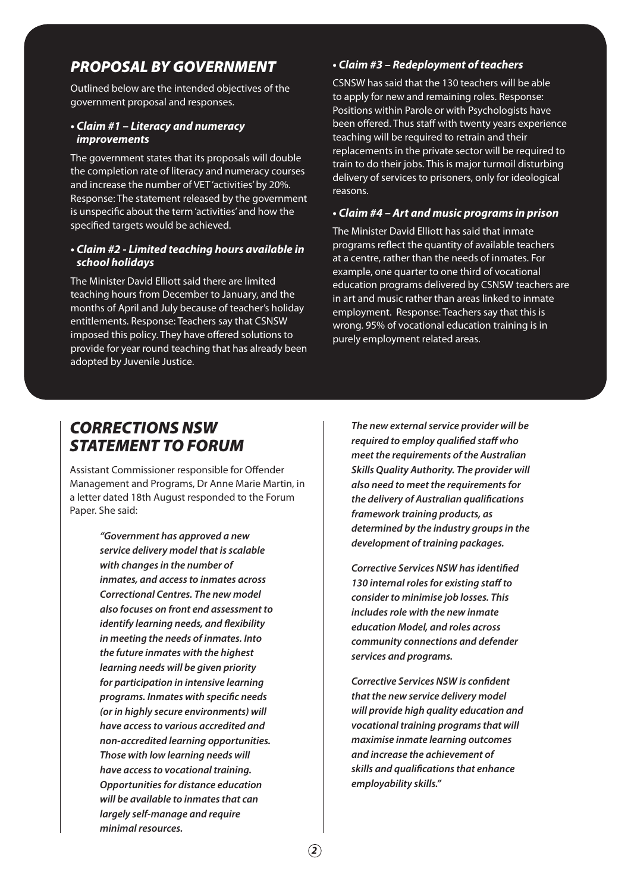# *PROPOSAL BY GOVERNMENT*

Outlined below are the intended objectives of the government proposal and responses.

### **• Claim #1 – Literacy and numeracy improvements**

The government states that its proposals will double the completion rate of literacy and numeracy courses and increase the number of VET 'activities' by 20%. Response: The statement released by the government is unspecific about the term 'activities' and how the specified targets would be achieved.

### **• Claim #2 - Limited teaching hours available in school holidays**

The Minister David Elliott said there are limited teaching hours from December to January, and the months of April and July because of teacher's holiday entitlements. Response: Teachers say that CSNSW imposed this policy. They have offered solutions to provide for year round teaching that has already been adopted by Juvenile Justice.

### **• Claim #3 – Redeployment of teachers**

CSNSW has said that the 130 teachers will be able to apply for new and remaining roles. Response: Positions within Parole or with Psychologists have been offered. Thus staff with twenty years experience teaching will be required to retrain and their replacements in the private sector will be required to train to do their jobs. This is major turmoil disturbing delivery of services to prisoners, only for ideological reasons.

#### **• Claim #4 – Art and music programs in prison**

The Minister David Elliott has said that inmate programs reflect the quantity of available teachers at a centre, rather than the needs of inmates. For example, one quarter to one third of vocational education programs delivered by CSNSW teachers are in art and music rather than areas linked to inmate employment. Response: Teachers say that this is wrong. 95% of vocational education training is in purely employment related areas.

# *CORRECTIONS NSW STATEMENT TO FORUM*

Assistant Commissioner responsible for Offender Management and Programs, Dr Anne Marie Martin, in a letter dated 18th August responded to the Forum Paper. She said:

> *"Government has approved a new service delivery model that is scalable with changes in the number of inmates, and access to inmates across Correctional Centres. The new model also focuses on front end assessment to identify learning needs, and flexibility in meeting the needs of inmates. Into the future inmates with the highest learning needs will be given priority for participation in intensive learning programs. Inmates with specific needs (or in highly secure environments) will have access to various accredited and non-accredited learning opportunities. Those with low learning needs will have access to vocational training. Opportunities for distance education will be available to inmates that can largely self-manage and require minimal resources.*

*The new external service provider will be required to employ qualified staff who meet the requirements of the Australian Skills Quality Authority. The provider will also need to meet the requirements for the delivery of Australian qualifications framework training products, as determined by the industry groups in the development of training packages.* 

*Corrective Services NSW has identified 130 internal roles for existing staff to consider to minimise job losses. This includes role with the new inmate education Model, and roles across community connections and defender services and programs.* 

*Corrective Services NSW is confident that the new service delivery model will provide high quality education and vocational training programs that will maximise inmate learning outcomes and increase the achievement of skills and qualifications that enhance employability skills."*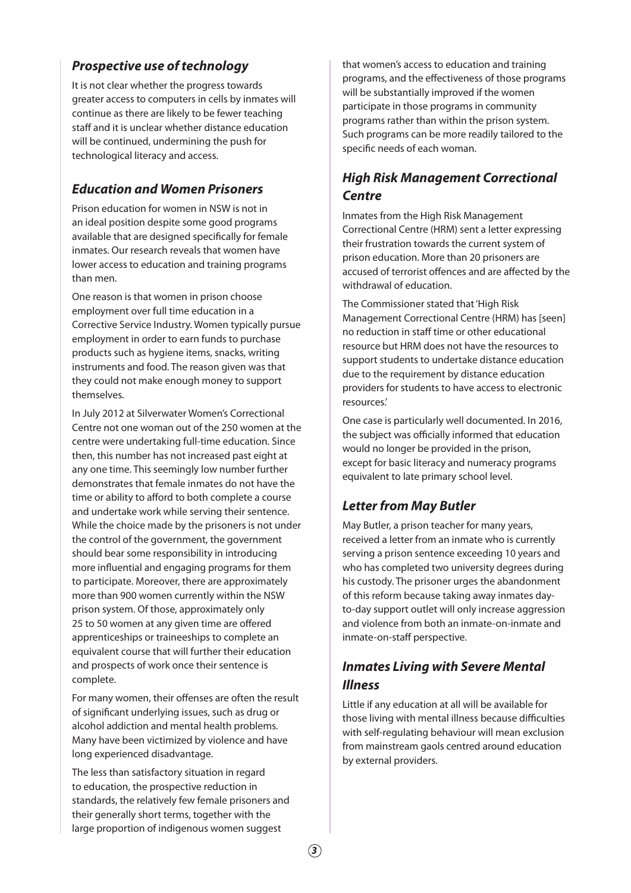## **Prospective use of technology**

It is not clear whether the progress towards greater access to computers in cells by inmates will continue as there are likely to be fewer teaching staff and it is unclear whether distance education will be continued, undermining the push for technological literacy and access.

# **Education and Women Prisoners**

Prison education for women in NSW is not in an ideal position despite some good programs available that are designed specifically for female inmates. Our research reveals that women have lower access to education and training programs than men.

One reason is that women in prison choose employment over full time education in a Corrective Service Industry. Women typically pursue employment in order to earn funds to purchase products such as hygiene items, snacks, writing instruments and food. The reason given was that they could not make enough money to support themselves.

In July 2012 at Silverwater Women's Correctional Centre not one woman out of the 250 women at the centre were undertaking full-time education. Since then, this number has not increased past eight at any one time. This seemingly low number further demonstrates that female inmates do not have the time or ability to afford to both complete a course and undertake work while serving their sentence. While the choice made by the prisoners is not under the control of the government, the government should bear some responsibility in introducing more influential and engaging programs for them to participate. Moreover, there are approximately more than 900 women currently within the NSW prison system. Of those, approximately only 25 to 50 women at any given time are offered apprenticeships or traineeships to complete an equivalent course that will further their education and prospects of work once their sentence is complete.

For many women, their offenses are often the result of significant underlying issues, such as drug or alcohol addiction and mental health problems. Many have been victimized by violence and have long experienced disadvantage.

The less than satisfactory situation in regard to education, the prospective reduction in standards, the relatively few female prisoners and their generally short terms, together with the large proportion of indigenous women suggest

that women's access to education and training programs, and the effectiveness of those programs will be substantially improved if the women participate in those programs in community programs rather than within the prison system. Such programs can be more readily tailored to the specific needs of each woman.

# **High Risk Management Correctional Centre**

Inmates from the High Risk Management Correctional Centre (HRM) sent a letter expressing their frustration towards the current system of prison education. More than 20 prisoners are accused of terrorist offences and are affected by the withdrawal of education.

The Commissioner stated that 'High Risk Management Correctional Centre (HRM) has [seen] no reduction in staff time or other educational resource but HRM does not have the resources to support students to undertake distance education due to the requirement by distance education providers for students to have access to electronic resources.'

One case is particularly well documented. In 2016, the subject was officially informed that education would no longer be provided in the prison, except for basic literacy and numeracy programs equivalent to late primary school level.

# **Letter from May Butler**

May Butler, a prison teacher for many years, received a letter from an inmate who is currently serving a prison sentence exceeding 10 years and who has completed two university degrees during his custody. The prisoner urges the abandonment of this reform because taking away inmates dayto-day support outlet will only increase aggression and violence from both an inmate-on-inmate and inmate-on-staff perspective.

## **Inmates Living with Severe Mental Illness**

Little if any education at all will be available for those living with mental illness because difficulties with self-regulating behaviour will mean exclusion from mainstream gaols centred around education by external providers.